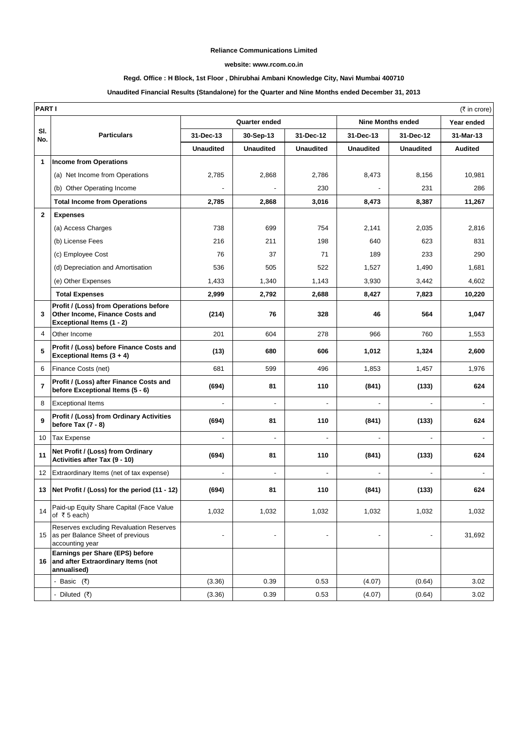#### **Reliance Communications Limited**

#### **website: www.rcom.co.in**

### **Regd. Office : H Block, 1st Floor , Dhirubhai Ambani Knowledge City, Navi Mumbai 400710**

#### **Unaudited Financial Results (Standalone) for the Quarter and Nine Months ended December 31, 2013**

|                | <b>PARTI</b><br>(₹ in crore)                                                                           |                          |                          |                          |                          |                          |                |
|----------------|--------------------------------------------------------------------------------------------------------|--------------------------|--------------------------|--------------------------|--------------------------|--------------------------|----------------|
|                |                                                                                                        | <b>Quarter ended</b>     |                          |                          | <b>Nine Months ended</b> |                          | Year ended     |
| SI.<br>No.     | <b>Particulars</b>                                                                                     | 31-Dec-13                | 30-Sep-13                | 31-Dec-12                | 31-Dec-13                | 31-Dec-12                | 31-Mar-13      |
|                |                                                                                                        | <b>Unaudited</b>         | <b>Unaudited</b>         | <b>Unaudited</b>         | <b>Unaudited</b>         | <b>Unaudited</b>         | <b>Audited</b> |
| 1              | Income from Operations                                                                                 |                          |                          |                          |                          |                          |                |
|                | (a) Net Income from Operations                                                                         | 2,785                    | 2,868                    | 2,786                    | 8,473                    | 8,156                    | 10,981         |
|                | (b) Other Operating Income                                                                             |                          |                          | 230                      |                          | 231                      | 286            |
|                | <b>Total Income from Operations</b>                                                                    | 2,785                    | 2,868                    | 3,016                    | 8,473                    | 8,387                    | 11,267         |
| $\mathbf{2}$   | <b>Expenses</b>                                                                                        |                          |                          |                          |                          |                          |                |
|                | (a) Access Charges                                                                                     | 738                      | 699                      | 754                      | 2,141                    | 2,035                    | 2,816          |
|                | (b) License Fees                                                                                       | 216                      | 211                      | 198                      | 640                      | 623                      | 831            |
|                | (c) Employee Cost                                                                                      | 76                       | 37                       | 71                       | 189                      | 233                      | 290            |
|                | (d) Depreciation and Amortisation                                                                      | 536                      | 505                      | 522                      | 1,527                    | 1,490                    | 1,681          |
|                | (e) Other Expenses                                                                                     | 1,433                    | 1,340                    | 1,143                    | 3,930                    | 3,442                    | 4,602          |
|                | <b>Total Expenses</b>                                                                                  | 2,999                    | 2,792                    | 2,688                    | 8,427                    | 7,823                    | 10,220         |
| 3              | Profit / (Loss) from Operations before<br>Other Income, Finance Costs and<br>Exceptional Items (1 - 2) | (214)                    | 76                       | 328                      | 46                       | 564                      | 1,047          |
| 4              | Other Income                                                                                           | 201                      | 604                      | 278                      | 966                      | 760                      | 1,553          |
| 5              | Profit / (Loss) before Finance Costs and<br>Exceptional Items $(3 + 4)$                                | (13)                     | 680                      | 606                      | 1,012                    | 1,324                    | 2,600          |
| 6              | Finance Costs (net)                                                                                    | 681                      | 599                      | 496                      | 1,853                    | 1,457                    | 1,976          |
| $\overline{7}$ | Profit / (Loss) after Finance Costs and<br>before Exceptional Items (5 - 6)                            | (694)                    | 81                       | 110                      | (841)                    | (133)                    | 624            |
| 8              | <b>Exceptional Items</b>                                                                               |                          | $\blacksquare$           | $\overline{\phantom{a}}$ | $\blacksquare$           |                          |                |
| 9              | Profit / (Loss) from Ordinary Activities<br>before Tax $(7 - 8)$                                       | (694)                    | 81                       | 110                      | (841)                    | (133)                    | 624            |
| 10             | <b>Tax Expense</b>                                                                                     |                          | $\blacksquare$           |                          | $\overline{a}$           |                          |                |
| 11             | Net Profit / (Loss) from Ordinary<br>Activities after Tax (9 - 10)                                     | (694)                    | 81                       | 110                      | (841)                    | (133)                    | 624            |
| 12             | Extraordinary Items (net of tax expense)                                                               |                          | ÷,                       |                          |                          |                          |                |
|                | 13 Net Profit / (Loss) for the period (11 - 12)                                                        | (694)                    | 81                       | 110                      | (841)                    | (133)                    | 624            |
| 14             | Paid-up Equity Share Capital (Face Value<br>of $\overline{\tau}$ 5 each)                               | 1,032                    | 1,032                    | 1,032                    | 1,032                    | 1,032                    | 1,032          |
|                | Reserves excluding Revaluation Reserves<br>15 as per Balance Sheet of previous<br>accounting year      | $\overline{\phantom{a}}$ | $\overline{\phantom{a}}$ | $\overline{\phantom{a}}$ | $\overline{\phantom{a}}$ | $\overline{\phantom{a}}$ | 31,692         |
|                | Earnings per Share (EPS) before<br>16 and after Extraordinary Items (not<br>annualised)                |                          |                          |                          |                          |                          |                |
|                | - Basic $(3)$                                                                                          | (3.36)                   | 0.39                     | 0.53                     | (4.07)                   | (0.64)                   | 3.02           |
|                | - Diluted (₹)                                                                                          | (3.36)                   | 0.39                     | 0.53                     | (4.07)                   | (0.64)                   | 3.02           |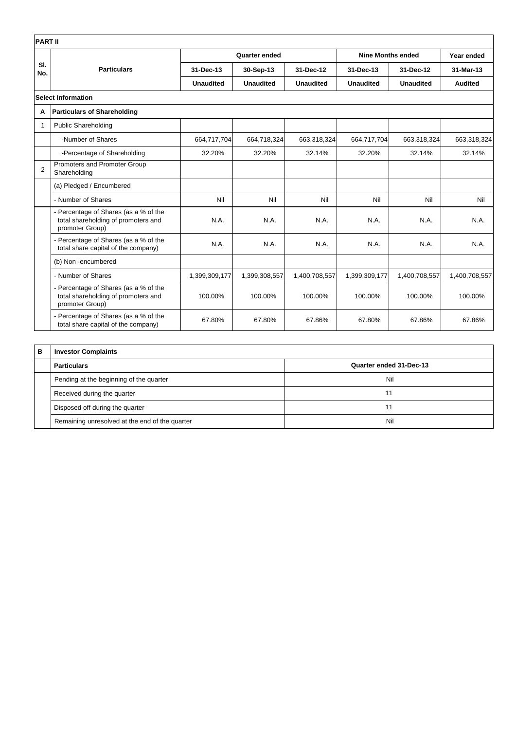| <b>PART II</b> |                                                                                                 |                  |                  |                  |                          |                  |                |
|----------------|-------------------------------------------------------------------------------------------------|------------------|------------------|------------------|--------------------------|------------------|----------------|
|                | <b>Particulars</b>                                                                              | Quarter ended    |                  |                  | <b>Nine Months ended</b> |                  | Year ended     |
| SI.<br>No.     |                                                                                                 | 31-Dec-13        | 30-Sep-13        | 31-Dec-12        | 31-Dec-13                | 31-Dec-12        | 31-Mar-13      |
|                |                                                                                                 | <b>Unaudited</b> | <b>Unaudited</b> | <b>Unaudited</b> | <b>Unaudited</b>         | <b>Unaudited</b> | <b>Audited</b> |
|                | <b>Select Information</b>                                                                       |                  |                  |                  |                          |                  |                |
| А              | <b>Particulars of Shareholding</b>                                                              |                  |                  |                  |                          |                  |                |
| $\mathbf 1$    | <b>Public Shareholding</b>                                                                      |                  |                  |                  |                          |                  |                |
|                | -Number of Shares                                                                               | 664,717,704      | 664,718,324      | 663,318,324      | 664,717,704              | 663,318,324      | 663,318,324    |
|                | -Percentage of Shareholding                                                                     | 32.20%           | 32.20%           | 32.14%           | 32.20%                   | 32.14%           | 32.14%         |
| $\overline{2}$ | Promoters and Promoter Group<br>Shareholding                                                    |                  |                  |                  |                          |                  |                |
|                | (a) Pledged / Encumbered                                                                        |                  |                  |                  |                          |                  |                |
|                | - Number of Shares                                                                              | Nil              | Nil              | Nil              | Nil                      | Nil              | Nil            |
|                | - Percentage of Shares (as a % of the<br>total shareholding of promoters and<br>promoter Group) | N.A.             | N.A.             | N.A.             | N.A.                     | N.A.             | N.A.           |
|                | - Percentage of Shares (as a % of the<br>total share capital of the company)                    | N.A.             | N.A.             | N.A.             | N.A.                     | N.A.             | N.A.           |
|                | (b) Non-encumbered                                                                              |                  |                  |                  |                          |                  |                |
|                | - Number of Shares                                                                              | 1,399,309,177    | 1,399,308,557    | 1,400,708,557    | 1,399,309,177            | 1,400,708,557    | 1,400,708,557  |
|                | - Percentage of Shares (as a % of the<br>total shareholding of promoters and<br>promoter Group) | 100.00%          | 100.00%          | 100.00%          | 100.00%                  | 100.00%          | 100.00%        |
|                | - Percentage of Shares (as a % of the<br>total share capital of the company)                    | 67.80%           | 67.80%           | 67.86%           | 67.80%                   | 67.86%           | 67.86%         |

| в | <b>Investor Complaints</b>                     |                         |  |  |  |
|---|------------------------------------------------|-------------------------|--|--|--|
|   | <b>Particulars</b>                             | Quarter ended 31-Dec-13 |  |  |  |
|   | Pending at the beginning of the quarter        | Nil                     |  |  |  |
|   | Received during the quarter                    | 11                      |  |  |  |
|   | Disposed off during the quarter                | 11                      |  |  |  |
|   | Remaining unresolved at the end of the quarter | Nil                     |  |  |  |